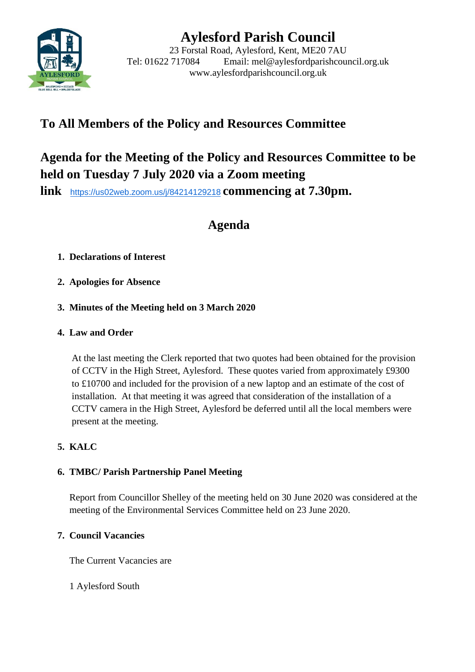

# **Aylesford Parish Council**

23 Forstal Road, Aylesford, Kent, ME20 7AU Tel: 01622 717084 Email: mel@aylesfordparishcouncil.org.uk www.aylesfordparishcouncil.org.uk

## **To All Members of the Policy and Resources Committee**

## **Agenda for the Meeting of the Policy and Resources Committee to be held on Tuesday 7 July 2020 via a Zoom meeting**

**link** <https://us02web.zoom.us/j/84214129218> **commencing at 7.30pm.**

## **Agenda**

## **1. Declarations of Interest**

**2. Apologies for Absence**

## **3. Minutes of the Meeting held on 3 March 2020**

## **4. Law and Order**

At the last meeting the Clerk reported that two quotes had been obtained for the provision of CCTV in the High Street, Aylesford. These quotes varied from approximately £9300 to £10700 and included for the provision of a new laptop and an estimate of the cost of installation. At that meeting it was agreed that consideration of the installation of a CCTV camera in the High Street, Aylesford be deferred until all the local members were present at the meeting.

## **5. KALC**

## **6. TMBC/ Parish Partnership Panel Meeting**

Report from Councillor Shelley of the meeting held on 30 June 2020 was considered at the meeting of the Environmental Services Committee held on 23 June 2020.

### **7. Council Vacancies**

The Current Vacancies are

1 Aylesford South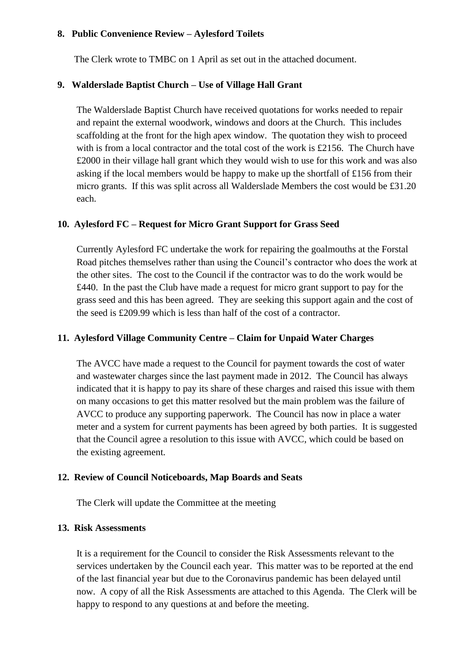#### **8. Public Convenience Review – Aylesford Toilets**

The Clerk wrote to TMBC on 1 April as set out in the attached document.

### **9. Walderslade Baptist Church – Use of Village Hall Grant**

The Walderslade Baptist Church have received quotations for works needed to repair and repaint the external woodwork, windows and doors at the Church. This includes scaffolding at the front for the high apex window. The quotation they wish to proceed with is from a local contractor and the total cost of the work is £2156. The Church have £2000 in their village hall grant which they would wish to use for this work and was also asking if the local members would be happy to make up the shortfall of £156 from their micro grants. If this was split across all Walderslade Members the cost would be £31.20 each.

#### **10. Aylesford FC – Request for Micro Grant Support for Grass Seed**

Currently Aylesford FC undertake the work for repairing the goalmouths at the Forstal Road pitches themselves rather than using the Council's contractor who does the work at the other sites. The cost to the Council if the contractor was to do the work would be £440. In the past the Club have made a request for micro grant support to pay for the grass seed and this has been agreed. They are seeking this support again and the cost of the seed is £209.99 which is less than half of the cost of a contractor.

#### **11. Aylesford Village Community Centre – Claim for Unpaid Water Charges**

The AVCC have made a request to the Council for payment towards the cost of water and wastewater charges since the last payment made in 2012. The Council has always indicated that it is happy to pay its share of these charges and raised this issue with them on many occasions to get this matter resolved but the main problem was the failure of AVCC to produce any supporting paperwork. The Council has now in place a water meter and a system for current payments has been agreed by both parties. It is suggested that the Council agree a resolution to this issue with AVCC, which could be based on the existing agreement.

#### **12. Review of Council Noticeboards, Map Boards and Seats**

The Clerk will update the Committee at the meeting

#### **13. Risk Assessments**

It is a requirement for the Council to consider the Risk Assessments relevant to the services undertaken by the Council each year. This matter was to be reported at the end of the last financial year but due to the Coronavirus pandemic has been delayed until now. A copy of all the Risk Assessments are attached to this Agenda. The Clerk will be happy to respond to any questions at and before the meeting.